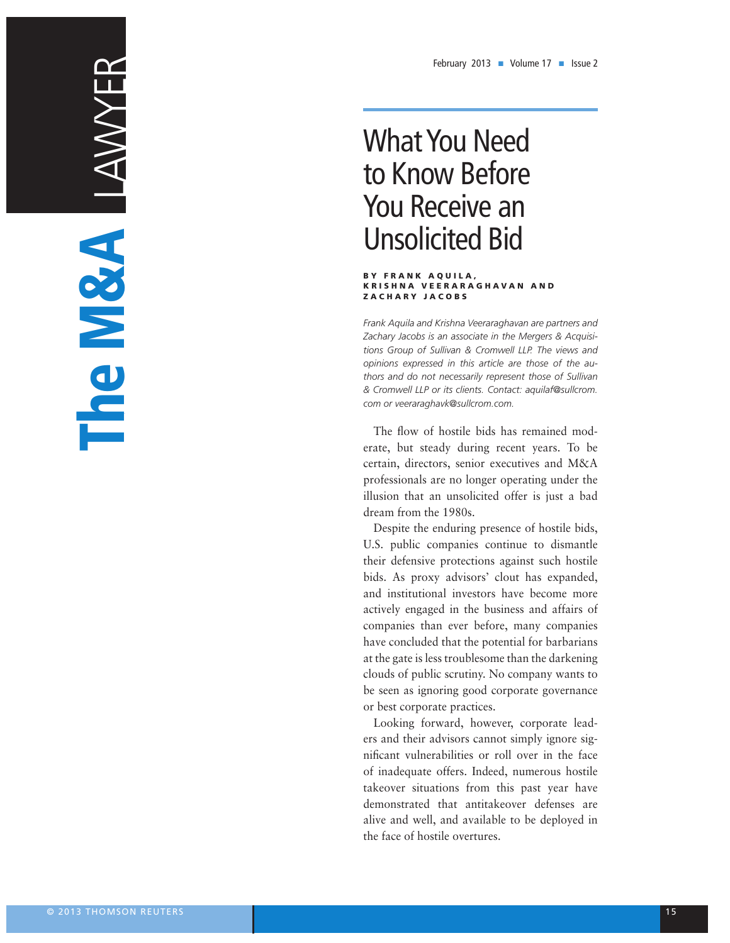# What You Need What You Need to Know Before **You Receive an** Unsolicited Bid

#### BY FRANK AQUILA, KRISHNA VEERARAGHAVAN AND zAC h A ry J ACOB s zAC h A ry J ACOB s BY FRANK AQUILA,<br>KRISHNA VEERARAGHAVAN AND<br>ZACHARY JACOBS

*Frank Aquila and Krishna Veeraraghavan are partners and Frank Aquila and Krishna Veeraraghavan are partners and Zachary Jacobs is an associate in the Mergers & Acquisi-Zachary Jacobs is an associate in the Mergers & Acquisi*tions Group of Sullivan & Cromwell LLP. The views and *opinions expressed in this article are those of the au-opinions expressed in this article are those of the au*thors and do not necessarily represent those of Sullivan *& Cromwell LLP or its clients. Contact: aquilaf@sullcrom. & Cromwell LLP or its clients. Contact: aquilaf@sullcrom. in Jones Day's Chicago office. Contact: kmfenton@jonesday.com. com or veeraraghavk@sullcrom.com. com or veeraraghavk@sullcrom.com.* Frank Aquila<br>Zacharv Jaco

The flow of hostile bids has remained moderate, but steady during recent years. To be certain, directors, senior executives and M&A professionals are no longer operating under the professionals are no longer operating under the illusion that an unsolicited offer is just a bad dream from the 1980s.

Despite the enduring presence of hostile bids,  $U.S.$  public companies continue to dismantle their defensive protections against such hostile mon definite procedured against such notified to col-<br>bids. As proxy advisors' clout has expanded, over the proxy advisors cloud has expanded, actively engaged in the business and affairs of companies than ever before, many companies have concluded that the potential for barbarians at the gate is less troublesome than the darkening clouds of public scrutiny. No company wants to clouds of public scrutiny. No company wants to **Agreements** be seen as ignoring good corporate governance  $\overline{\text{S}}$  or best corporate practices. *Jonathan R. Picard ...................................................... 7*

Looking forward, however, corporate leaders and their advisors cannot simply ignore sigend their database cannot empty specie eight of inadequate offers. Indeed, numerous hostile of inadequate offers. Indeed, numerous hostile takeover situations from this past year have demonstrated that antitakeover defenses are alive and well, and available to be deployed in the face of hostile overtures. the face of hostile overtures.  $rac{1}{\sqrt{2}}$ liability and, if damaging enough, even *By Mark Adkins, Mike Gans, Chris Kozub and Diffures or roll over in the race* 

 $\sim$ 

The M&A

LAWYER

that it should not).

2009; July/August 2010.

which the parties made a 338 election, but GAAP and required that a 2,664,395 deferred tax liability of the second tax liability of the second tax liability of the remain on the closing date balance sheet). 11. *See Perry v. Wolaver*, 506 F.3d 48 (1st Cir. 2007) (in which the parties disputed whether cases disputed whether cases of  $\alpha$ swept by the seller should be included in the working capital adjustment and the court held the court held

11. *See Perry v. Wolaver*, 506 F.3d 48(1st Cir. 2007)

12. Freelandand Burnett, *The M&A Lawyer*, July

13. In certain cases courts have viewed the use of a

12. Freeland and Burnett, *The M&A Lawyer*, July

13. In certain cases courts have viewed the use of a

 $\blacksquare$ benchmarks calculated from an incorrect prior balance sheet, and these decisions have between split as to whether the buyer or seller the buyer or seller the buyer or seller the buyer or seller th benefited. *See Kim v. Transtar Metals, Inc.*, 284 A.D.2d 118 (n.Y. App. Div. 2001); *In re Rockwell* 

intent to measure changes in working capital capital capital control  $\alpha$ from the prior balance sheet date to the closing date, rather than deliver a predetermined

*Westmoreland Coal Co. v. Entech, Inc.,* 100 n.Y.2d 352 (n.Y. 2003); *See also OSI Systems, Inc. v. Instrumentarium*, 892 A.2d 1086 (Del. Ch. 2006); *Melun Indus., Inc. v. Strange*, 898 F. supp.

14. some courtshave allowed arbitrators to change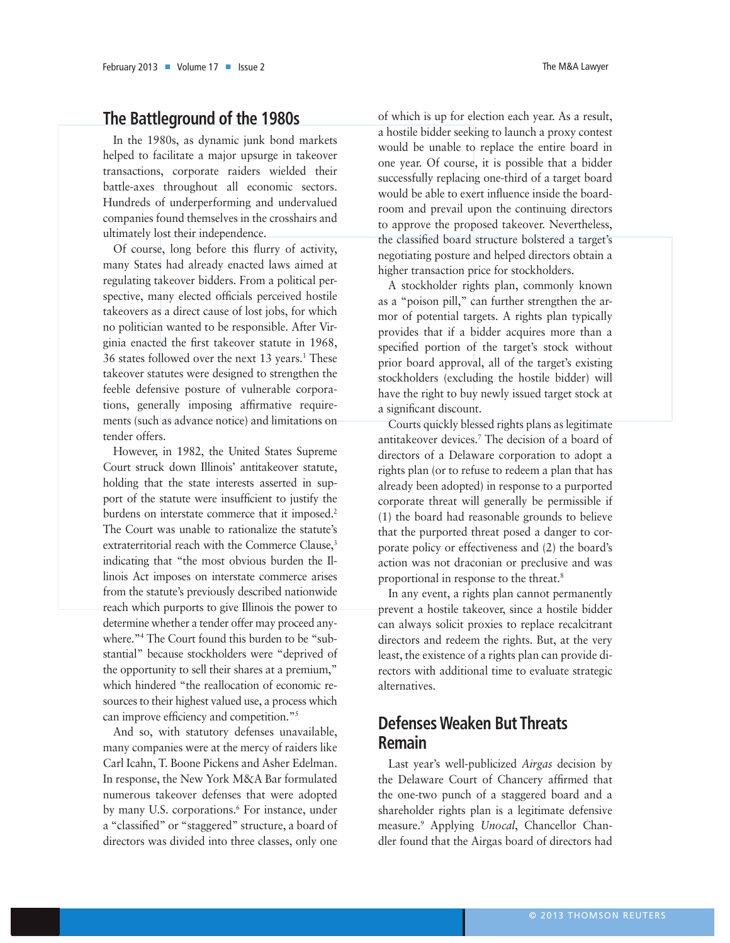## **The Battleground of the 1980s**

In the 1980s, as dynamic junk bond markets helped to facilitate a major upsurge in takeover transactions, corporate raiders wielded their battle-axes throughout all economic sectors. Hundreds of underperforming and undervalued companies found themselves in the crosshairs and ultimately lost their independence.

Of course, long before this flurry of activity, many States had already enacted laws aimed at regulating takeover bidders. From a political perspective, many elected officials perceived hostile takeovers as a direct cause of lost jobs, for which no politician wanted to be responsible. After Virginia enacted the first takeover statute in 1968, 36 states followed over the next 13 years.<sup>1</sup> These takeover statutes were designed to strengthen the feeble defensive posture of vulnerable corporations, generally imposing affirmative requirements (such as advance notice) and limitations on tender offers.

However, in 1982, the United States Supreme Court struck down Illinois' antitakeover statute, holding that the state interests asserted in support of the statute were insufficient to justify the burdens on interstate commerce that it imposed.<sup>2</sup> The Court was unable to rationalize the statute's extraterritorial reach with the Commerce Clause.<sup>3</sup> indicating that "the most obvious burden the Illinois Act imposes on interstate commerce arises from the statute's previously described nationwide reach which purports to give Illinois the power to determine whether a tender offer may proceed anywhere."4 The Court found this burden to be "substantial" because stockholders were "deprived of the opportunity to sell their shares at a premium," which hindered "the reallocation of economic resources to their highest valued use, a process which can improve efficiency and competition."5

And so, with statutory defenses unavailable, many companies were at the mercy of raiders like Carl Icahn, T. Boone Pickens and Asher Edelman. In response, the New York M&A Bar formulated numerous takeover defenses that were adopted by many U.S. corporations.<sup>6</sup> For instance, under a "classified" or "staggered" structure, a board of directors was divided into three classes, only one

of which is up for election each year. As a result, a hostile bidder seeking to launch a proxy contest would be unable to replace the entire board in one year. Of course, it is possible that a bidder successfully replacing one-third of a target board would be able to exert influence inside the boardroom and prevail upon the continuing directors to approve the proposed takeover. Nevertheless, the classified board structure bolstered a target's negotiating posture and helped directors obtain a higher transaction price for stockholders.

A stockholder rights plan, commonly known as a "poison pill," can further strengthen the armor of potential targets. A rights plan typically provides that if a bidder acquires more than a specified portion of the target's stock without prior board approval, all of the target's existing stockholders (excluding the hostile bidder) will have the right to buy newly issued target stock at a significant discount.

Courts quickly blessed rights plans as legitimate antitakeover devices.7 The decision of a board of directors of a Delaware corporation to adopt a rights plan (or to refuse to redeem a plan that has already been adopted) in response to a purported corporate threat will generally be permissible if (1) the board had reasonable grounds to believe that the purported threat posed a danger to corporate policy or effectiveness and (2) the board's action was not draconian or preclusive and was proportional in response to the threat.8

In any event, a rights plan cannot permanently prevent a hostile takeover, since a hostile bidder can always solicit proxies to replace recalcitrant directors and redeem the rights. But, at the very least, the existence of a rights plan can provide directors with additional time to evaluate strategic alternatives.

## **defenses weaken But Threats remain**

Last year's well-publicized *Airgas* decision by the Delaware Court of Chancery affirmed that the one-two punch of a staggered board and a shareholder rights plan is a legitimate defensive measure.9 Applying *Unocal*, Chancellor Chandler found that the Airgas board of directors had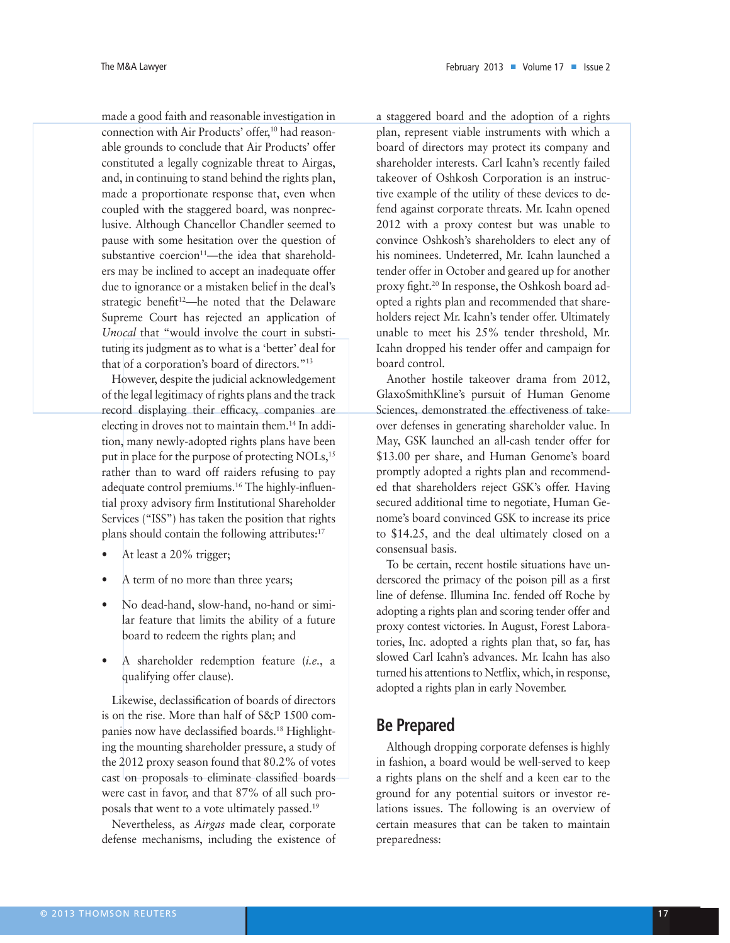made a good faith and reasonable investigation in connection with Air Products' offer,<sup>10</sup> had reasonable grounds to conclude that Air Products' offer constituted a legally cognizable threat to Airgas, and, in continuing to stand behind the rights plan, made a proportionate response that, even when coupled with the staggered board, was nonpreclusive. Although Chancellor Chandler seemed to pause with some hesitation over the question of substantive coercion<sup>11</sup>—the idea that shareholders may be inclined to accept an inadequate offer due to ignorance or a mistaken belief in the deal's strategic benefit<sup>12</sup>—he noted that the Delaware Supreme Court has rejected an application of *Unocal* that "would involve the court in substituting its judgment as to what is a 'better' deal for that of a corporation's board of directors."13

However, despite the judicial acknowledgement of the legal legitimacy of rights plans and the track record displaying their efficacy, companies are electing in droves not to maintain them.14 In addition, many newly-adopted rights plans have been put in place for the purpose of protecting NOLs,<sup>15</sup> rather than to ward off raiders refusing to pay adequate control premiums.16 The highly-influential proxy advisory firm Institutional Shareholder Services ("ISS") has taken the position that rights plans should contain the following attributes:<sup>17</sup>

- At least a 20% trigger;
- A term of no more than three years;
- No dead-hand, slow-hand, no-hand or similar feature that limits the ability of a future board to redeem the rights plan; and
- A shareholder redemption feature (*i.e.*, a qualifying offer clause).

Likewise, declassification of boards of directors is on the rise. More than half of S&P 1500 companies now have declassified boards.<sup>18</sup> Highlighting the mounting shareholder pressure, a study of the 2012 proxy season found that 80.2% of votes cast on proposals to eliminate classified boards were cast in favor, and that 87% of all such proposals that went to a vote ultimately passed.19

Nevertheless, as *Airgas* made clear, corporate defense mechanisms, including the existence of

a staggered board and the adoption of a rights plan, represent viable instruments with which a board of directors may protect its company and shareholder interests. Carl Icahn's recently failed takeover of Oshkosh Corporation is an instructive example of the utility of these devices to defend against corporate threats. Mr. Icahn opened 2012 with a proxy contest but was unable to convince Oshkosh's shareholders to elect any of his nominees. Undeterred, Mr. Icahn launched a tender offer in October and geared up for another proxy fight.20 In response, the Oshkosh board adopted a rights plan and recommended that shareholders reject Mr. Icahn's tender offer. Ultimately unable to meet his 25% tender threshold, Mr. Icahn dropped his tender offer and campaign for board control.

Another hostile takeover drama from 2012, GlaxoSmithKline's pursuit of Human Genome Sciences, demonstrated the effectiveness of takeover defenses in generating shareholder value. In May, GSK launched an all-cash tender offer for \$13.00 per share, and Human Genome's board promptly adopted a rights plan and recommended that shareholders reject GSK's offer. Having secured additional time to negotiate, Human Genome's board convinced GSK to increase its price to \$14.25, and the deal ultimately closed on a consensual basis.

To be certain, recent hostile situations have underscored the primacy of the poison pill as a first line of defense. Illumina Inc. fended off Roche by adopting a rights plan and scoring tender offer and proxy contest victories. In August, Forest Laboratories, Inc. adopted a rights plan that, so far, has slowed Carl Icahn's advances. Mr. Icahn has also turned his attentions to Netflix, which, in response, adopted a rights plan in early November.

#### **Be Prepared**

Although dropping corporate defenses is highly in fashion, a board would be well-served to keep a rights plans on the shelf and a keen ear to the ground for any potential suitors or investor relations issues. The following is an overview of certain measures that can be taken to maintain preparedness: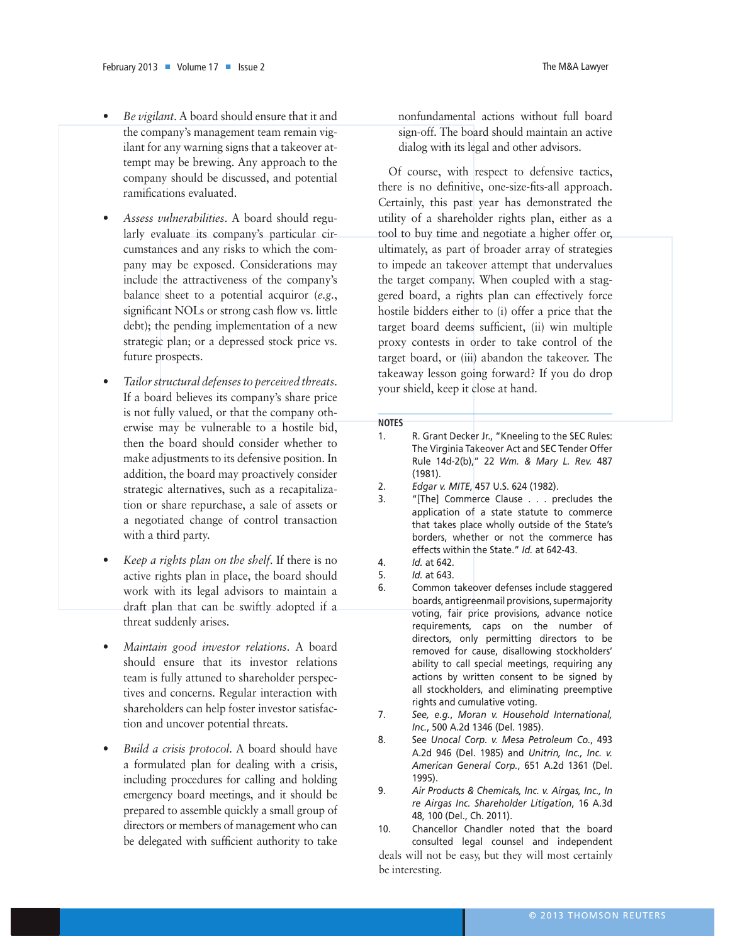- *Be vigilant*. A board should ensure that it and the company's management team remain vigilant for any warning signs that a takeover attempt may be brewing. Any approach to the company should be discussed, and potential ramifications evaluated.
- *Assess vulnerabilities*. A board should regularly evaluate its company's particular circumstances and any risks to which the company may be exposed. Considerations may include the attractiveness of the company's balance sheet to a potential acquiror (*e.g.*, significant NOLs or strong cash flow vs. little debt); the pending implementation of a new strategic plan; or a depressed stock price vs. future prospects.
- *Tailor structural defenses to perceived threats*. If a board believes its company's share price is not fully valued, or that the company otherwise may be vulnerable to a hostile bid, then the board should consider whether to make adjustments to its defensive position. In addition, the board may proactively consider strategic alternatives, such as a recapitalization or share repurchase, a sale of assets or a negotiated change of control transaction with a third party.
- *Keep a rights plan on the shelf*. If there is no active rights plan in place, the board should work with its legal advisors to maintain a draft plan that can be swiftly adopted if a threat suddenly arises.
- *Maintain good investor relations*. A board should ensure that its investor relations team is fully attuned to shareholder perspectives and concerns. Regular interaction with shareholders can help foster investor satisfaction and uncover potential threats.
- *Build a crisis protocol*. A board should have a formulated plan for dealing with a crisis, including procedures for calling and holding emergency board meetings, and it should be prepared to assemble quickly a small group of directors or members of management who can be delegated with sufficient authority to take

nonfundamental actions without full board sign-off. The board should maintain an active dialog with its legal and other advisors.

Of course, with respect to defensive tactics, there is no definitive, one-size-fits-all approach. Certainly, this past year has demonstrated the utility of a shareholder rights plan, either as a tool to buy time and negotiate a higher offer or, ultimately, as part of broader array of strategies to impede an takeover attempt that undervalues the target company. When coupled with a staggered board, a rights plan can effectively force hostile bidders either to (i) offer a price that the target board deems sufficient, (ii) win multiple proxy contests in order to take control of the target board, or (iii) abandon the takeover. The takeaway lesson going forward? If you do drop your shield, keep it close at hand.

#### **NOTES**

- 1. R. Grant Decker Jr., "Kneeling to the seC Rules: The Virginia Takeover Act and seC Tender offer Rule 14d-2(b)," 22 *Wm. & Mary L. Rev.* 487 (1981).
- 2. *Edgar v. MITE*, 457 u.s. 624 (1982).
- 3. "[The] Commerce Clause . . . precludes the application of a state statute to commerce that takes place wholly outside of the state's borders, whether or not the commerce has effects within the state." *Id.* at 642-43.
- 4. *Id.* at 642.
- 5. *Id.* at 643.
- 6. Common takeover defenses include staggered boards, antigreenmail provisions, supermajority voting, fair price provisions, advance notice requirements, caps on the number of directors, only permitting directors to be removed for cause, disallowing stockholders' ability to call special meetings, requiring any actions by written consent to be signed by all stockholders, and eliminating preemptive rights and cumulative voting.
- 7. *See, e.g.*, *Moran v. Household International, Inc.*, 500 A.2d 1346 (Del. 1985).
- 8. see *Unocal Corp. v. Mesa Petroleum Co.*, 493 A.2d 946 (Del. 1985) and *Unitrin, Inc., Inc. v. American General Corp.*, 651 A.2d 1361 (Del. 1995).
- 9. *Air Products & Chemicals, Inc. v. Airgas, Inc., In re Airgas Inc. Shareholder Litigation*, 16 A.3d 48, 100 (Del., Ch. 2011).

10. Chancellor Chandler noted that the board consulted legal counsel and independent deals will not be easy, but they will most certainly be interesting.

sponsor had the option to terminate the transaction